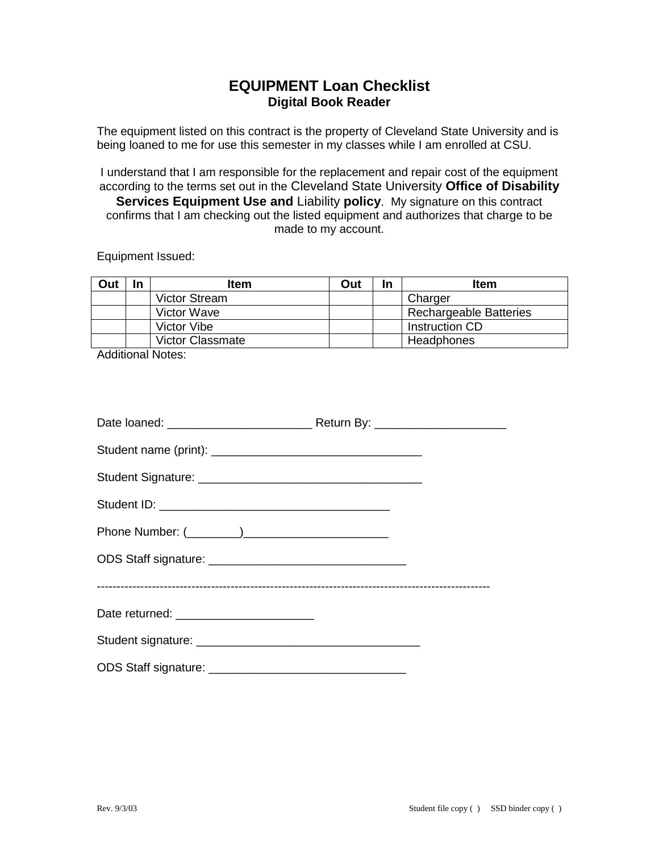## **EQUIPMENT Loan Checklist Digital Book Reader**

The equipment listed on this contract is the property of Cleveland State University and is being loaned to me for use this semester in my classes while I am enrolled at CSU.

I understand that I am responsible for the replacement and repair cost of the equipment according to the terms set out in the Cleveland State University **Office of Disability Services Equipment Use and** Liability **policy**. My signature on this contract confirms that I am checking out the listed equipment and authorizes that charge to be made to my account.

Equipment Issued:

| Out | In | <b>Item</b>             | Out | In | Item                          |
|-----|----|-------------------------|-----|----|-------------------------------|
|     |    | <b>Victor Stream</b>    |     |    | Charger                       |
|     |    | Victor Wave             |     |    | <b>Rechargeable Batteries</b> |
|     |    | Victor Vibe             |     |    | Instruction CD                |
|     |    | <b>Victor Classmate</b> |     |    | Headphones                    |

Additional Notes:

| Date returned: __________________________ |  |
|-------------------------------------------|--|
|                                           |  |
|                                           |  |